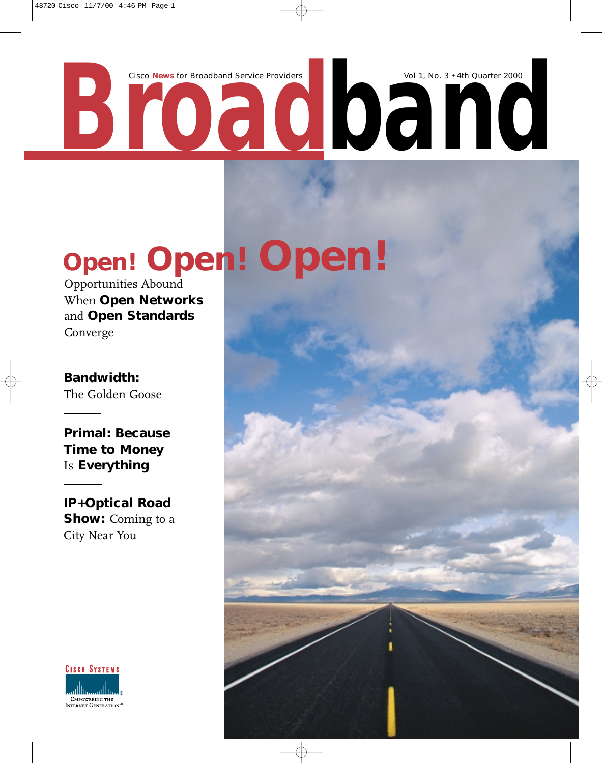Cisco News for Broadband Service Providers Vol 1, No. 3 • 4th Quarter 2000

**Open! Open! Open!**

Opportunities Abound When **Open Networks**  and **Open Standards** Converge

**Bandwidth:** The Golden Goose

**Primal: Because Time to Money**  Is **Everything**

**IP+Optical Road Show:** Coming to a City Near You

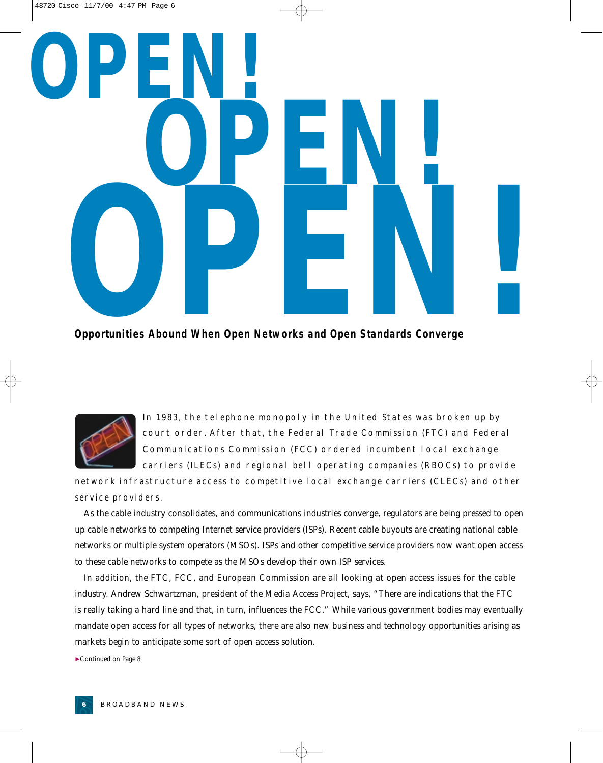# **OPEN!** Opportunities Abound When Open Networks and Open Standards Converge **OPEN!**

**Opportunities Abound When Open Networks and Open Standards Converge**



In 1983, the telephone monopoly in the United States was broken up by court order. After that, the Federal Trade Commission (FTC) and Federal Communications Commission (FCC) ordered incumbent local exchange carriers (ILECs) and regional bell operating companies (RBOCs) to provide

network infrastructure access to competitive local exchange carriers (CLECs) and other service providers.

As the cable industry consolidates, and communications industries converge, regulators are being pressed to open up cable networks to competing Internet service providers (ISPs). Recent cable buyouts are creating national cable networks or multiple system operators (MSOs). ISPs and other competitive service providers now want open access to these cable networks to compete as the MSOs develop their own ISP services.

In addition, the FTC, FCC, and European Commission are all looking at open access issues for the cable industry. Andrew Schwartzman, president of the Media Access Project, says, "There are indications that the FTC is really taking a hard line and that, in turn, influences the FCC." While various government bodies may eventually mandate open access for all types of networks, there are also new business and technology opportunities arising as markets begin to anticipate some sort of open access solution.

▼*Continued on Page 8*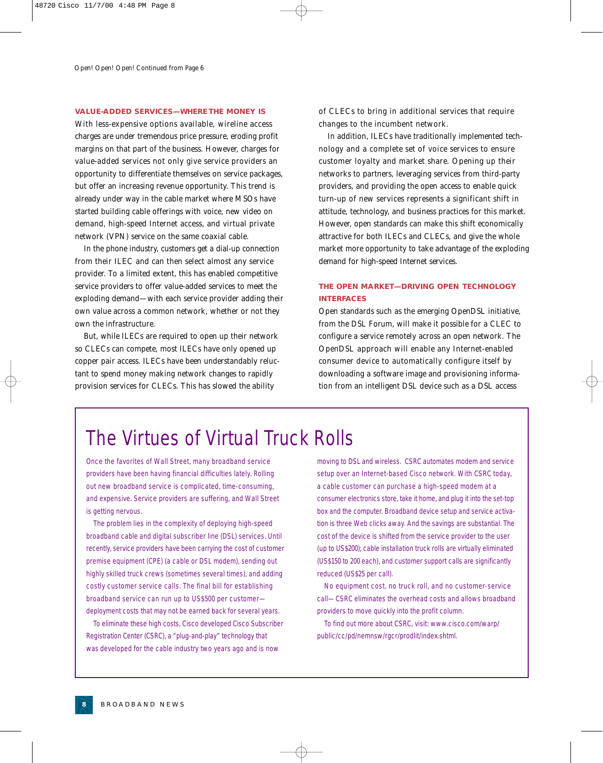#### **VALUE-ADDED SERVICES—WHERE THE MONEY IS**

With less-expensive options available, wireline access charges are under tremendous price pressure, eroding profit margins on that part of the business. However, charges for value-added services not only give service providers an opportunity to differentiate themselves on service packages, but offer an increasing revenue opportunity. This trend is already under way in the cable market where MSOs have started building cable offerings with voice, new video on demand, high-speed Internet access, and virtual private network (VPN) service on the same coaxial cable.

In the phone industry, customers get a dial-up connection from their ILEC and can then select almost any service provider. To a limited extent, this has enabled competitive service providers to offer value-added services to meet the exploding demand—with each service provider adding their own value across a common network, whether or not they own the infrastructure.

But, while ILECs are required to open up their network so CLECs can compete, most ILECs have only opened up copper pair access. ILECs have been understandably reluctant to spend money making network changes to rapidly provision services for CLECs. This has slowed the ability

of CLECs to bring in additional services that require changes to the incumbent network.

In addition, ILECs have traditionally implemented technology and a complete set of voice services to ensure customer loyalty and market share. Opening up their networks to partners, leveraging services from third-party providers, and providing the open access to enable quick turn-up of new services represents a significant shift in attitude, technology, and business practices for this market. However, open standards can make this shift economically attractive for both ILECs and CLECs, and give the whole market more opportunity to take advantage of the exploding demand for high-speed Internet services.

#### **THE OPEN MARKET—DRIVING OPEN TECHNOLOGY INTERFACES**

Open standards such as the emerging OpenDSL initiative, from the DSL Forum, will make it possible for a CLEC to configure a service remotely across an open network. The OpenDSL approach will enable any Internet-enabled consumer device to automatically configure itself by downloading a software image and provisioning information from an intelligent DSL device such as a DSL access

#### The Virtues of Virtual Truck Rolls

Once the favorites of Wall Street, many broadband service providers have been having financial difficulties lately. Rolling out new broadband service is complicated, time-consuming, and expensive. Service providers are suffering, and Wall Street is getting nervous.

The problem lies in the complexity of deploying high-speed broadband cable and digital subscriber line (DSL) services. Until recently, service providers have been carrying the cost of customer premise equipment (CPE) (a cable or DSL modem), sending out highly skilled truck crews (sometimes several times), and adding costly customer service calls. The final bill for establishing broadband service can run up to US\$500 per customer deployment costs that may not be earned back for several years.

To eliminate these high costs, Cisco developed Cisco Subscriber Registration Center (CSRC), a "plug-and-play" technology that was developed for the cable industry two years ago and is now

moving to DSL and wireless. CSRC automates modem and service setup over an Internet-based Cisco network. With CSRC today, a cable customer can purchase a high-speed modem at a consumer electronics store, take it home, and plug it into the set-top box and the computer. Broadband device setup and service activation is three Web clicks away. And the savings are substantial. The cost of the device is shifted from the service provider to the user (up to US\$200); cable installation truck rolls are virtually eliminated (US\$150 to 200 each), and customer support calls are significantly reduced (US\$25 per call).

No equipment cost, no truck roll, and no customer-service call—CSRC eliminates the overhead costs and allows broadband providers to move quickly into the profit column.

To find out more about CSRC, visit: www.cisco.com/warp/ public/cc/pd/nemnsw/rgcr/prodlit/index.shtml.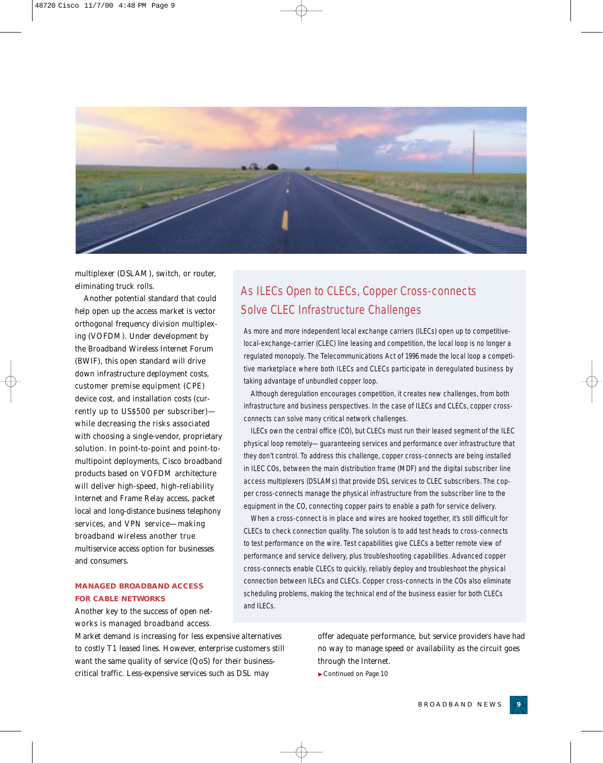

multiplexer (DSLAM), switch, or router, eliminating truck rolls.

Another potential standard that could help open up the access market is vector orthogonal frequency division multiplexing (VOFDM). Under development by the Broadband Wireless Internet Forum (BWIF), this open standard will drive down infrastructure deployment costs, customer premise equipment (CPE) device cost, and installation costs (currently up to US\$500 per subscriber) while decreasing the risks associated with choosing a single-vendor, proprietary solution. In point-to-point and point-tomultipoint deployments, Cisco broadband products based on VOFDM architecture will deliver high-speed, high-reliability Internet and Frame Relay access, packet local and long-distance business telephony services, and VPN service—making broadband wireless another true multiservice access option for businesses and consumers.

#### **MANAGED BROADBAND ACCESS FOR CABLE NETWORKS**

Another key to the success of open networks is managed broadband access.

#### Market demand is increasing for less expensive alternatives to costly T1 leased lines. However, enterprise customers still want the same quality of service (QoS) for their businesscritical traffic. Less-expensive services such as DSL may

#### As ILECs Open to CLECs, Copper Cross-connects Solve CLEC Infrastructure Challenges

As more and more independent local exchange carriers (ILECs) open up to competitivelocal-exchange-carrier (CLEC) line leasing and competition, the local loop is no longer a regulated monopoly. The Telecommunications Act of 1996 made the local loop a competitive marketplace where both ILECs and CLECs participate in deregulated business by taking advantage of unbundled copper loop.

Although deregulation encourages competition, it creates new challenges, from both infrastructure and business perspectives. In the case of ILECs and CLECs, copper crossconnects can solve many critical network challenges.

ILECs own the central office (CO), but CLECs must run their leased segment of the ILEC physical loop remotely—guaranteeing services and performance over infrastructure that they don't control. To address this challenge, copper cross-connects are being installed in ILEC COs, between the main distribution frame (MDF) and the digital subscriber line access multiplexers (DSLAMs) that provide DSL services to CLEC subscribers. The copper cross-connects manage the physical infrastructure from the subscriber line to the equipment in the CO, connecting copper pairs to enable a path for service delivery.

When a cross-connect is in place and wires are hooked together, it's still difficult for CLECs to check connection quality. The solution is to add test heads to cross-connects to test performance on the wire. Test capabilities give CLECs a better remote view of performance and service delivery, plus troubleshooting capabilities. Advanced copper cross-connects enable CLECs to quickly, reliably deploy and troubleshoot the physical connection between ILECs and CLECs. Copper cross-connects in the COs also eliminate scheduling problems, making the technical end of the business easier for both CLECs and ILECs.

> offer adequate performance, but service providers have had no way to manage speed or availability as the circuit goes through the Internet.

▼*Continued on Page 10*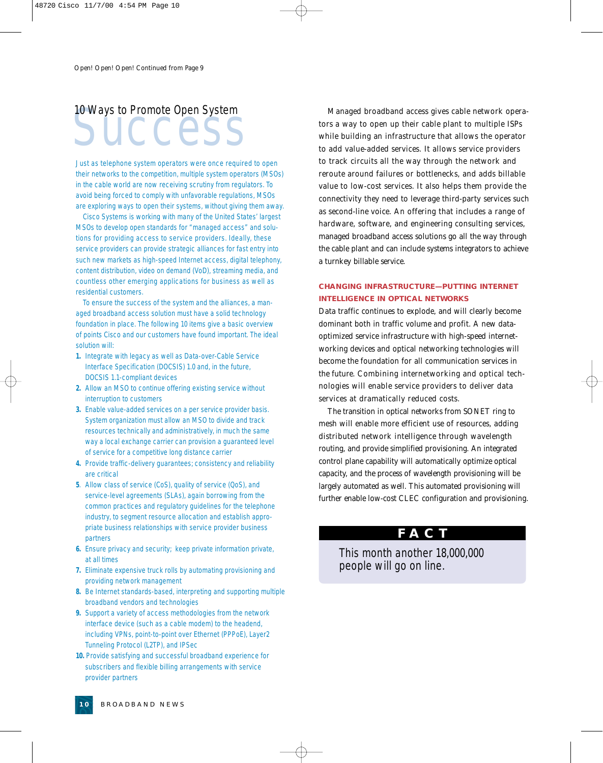## 10 Ways to Promote Open System

Just as telephone system operators were once required to open their networks to the competition, multiple system operators (MSOs) in the cable world are now receiving scrutiny from regulators. To avoid being forced to comply with unfavorable regulations, MSOs are exploring ways to open their systems, without giving them away.

Cisco Systems is working with many of the United States' largest MSOs to develop open standards for "managed access" and solutions for providing access to service providers. Ideally, these service providers can provide strategic alliances for fast entry into such new markets as high-speed Internet access, digital telephony, content distribution, video on demand (VoD), streaming media, and countless other emerging applications for business as well as residential customers.

To ensure the success of the system and the alliances, a managed broadband access solution must have a solid technology foundation in place. The following 10 items give a basic overview of points Cisco and our customers have found important. The ideal solution will:

- **1.** Integrate with legacy as well as Data-over-Cable Service Interface Specification (DOCSIS) 1.0 and, in the future, DOCSIS 1.1-compliant devices
- **2.** Allow an MSO to continue offering existing service without interruption to customers
- **3.** Enable value-added services on a per service provider basis. System organization must allow an MSO to divide and track resources technically and administratively, in much the same way a local exchange carrier can provision a guaranteed level of service for a competitive long distance carrier
- **4.** Provide traffic-delivery guarantees; consistency and reliability are critical
- **5**. Allow class of service (CoS), quality of service (QoS), and service-level agreements (SLAs), again borrowing from the common practices and regulatory guidelines for the telephone industry, to segment resource allocation and establish appropriate business relationships with service provider business partners
- **6.** Ensure privacy and security; keep private information private, at all times
- **7.** Eliminate expensive truck rolls by automating provisioning and providing network management
- **8.** Be Internet standards-based, interpreting and supporting multiple broadband vendors and technologies
- **9.** Support a variety of access methodologies from the network interface device (such as a cable modem) to the headend, including VPNs, point-to-point over Ethernet (PPPoE), Layer2 Tunneling Protocol (L2TP), and IPSec
- **10.** Provide satisfying and successful broadband experience for subscribers and flexible billing arrangements with service provider partners

TO Ways to Promote Open System<br>
Success managed broadband access gives cable network opera-<br>
tors a way to open up their cable plant to multiple ISPs<br>
while building an infrastructure that allows the operator<br>
to add value tors a way to open up their cable plant to multiple ISPs while building an infrastructure that allows the operator to add value-added services. It allows service providers to track circuits all the way through the network and reroute around failures or bottlenecks, and adds billable value to low-cost services. It also helps them provide the connectivity they need to leverage third-party services such as second-line voice. An offering that includes a range of hardware, software, and engineering consulting services, managed broadband access solutions go all the way through the cable plant and can include systems integrators to achieve a turnkey billable service.

#### **CHANGING INFRASTRUCTURE—PUTTING INTERNET INTELLIGENCE IN OPTICAL NETWORKS**

Data traffic continues to explode, and will clearly become dominant both in traffic volume and profit. A new dataoptimized service infrastructure with high-speed internetworking devices and optical networking technologies will become the foundation for all communication services in the future. Combining internetworking and optical technologies will enable service providers to deliver data services at dramatically reduced costs.

The transition in optical networks from SONET ring to mesh will enable more efficient use of resources, adding distributed network intelligence through wavelength routing, and provide simplified provisioning. An integrated control plane capability will automatically optimize optical capacity, and the process of wavelength provisioning will be largely automated as well. This automated provisioning will further enable low-cost CLEC configuration and provisioning.

#### **FACT**

This month another 18,000,000 people will go on line.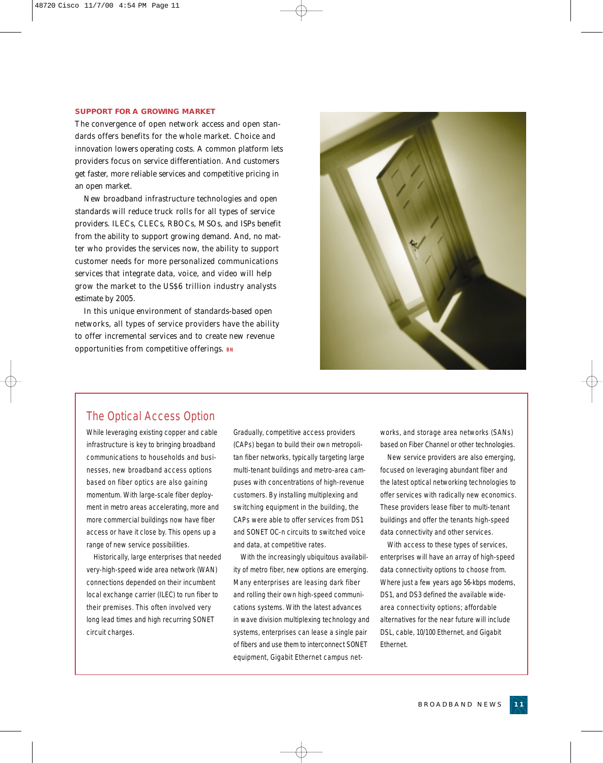#### **SUPPORT FOR A GROWING MARKET**

The convergence of open network access and open standards offers benefits for the whole market. Choice and innovation lowers operating costs. A common platform lets providers focus on service differentiation. And customers get faster, more reliable services and competitive pricing in an open market.

New broadband infrastructure technologies and open standards will reduce truck rolls for all types of service providers. ILECs, CLECs, RBOCs, MSOs, and ISPs benefit from the ability to support growing demand. And, no matter who provides the services now, the ability to support customer needs for more personalized communications services that integrate data, voice, and video will help grow the market to the US\$6 trillion industry analysts estimate by 2005.

In this unique environment of standards-based open networks, all types of service providers have the ability to offer incremental services and to create new revenue opportunities from competitive offerings. **BN**

#### The Optical Access Option

While leveraging existing copper and cable infrastructure is key to bringing broadband communications to households and businesses, new broadband access options based on fiber optics are also gaining momentum. With large-scale fiber deployment in metro areas accelerating, more and more commercial buildings now have fiber access or have it close by. This opens up a range of new service possibilities.

Historically, large enterprises that needed very-high-speed wide area network (WAN) connections depended on their incumbent local exchange carrier (ILEC) to run fiber to their premises. This often involved very long lead times and high recurring SONET circuit charges.

Gradually, competitive access providers (CAPs) began to build their own metropolitan fiber networks, typically targeting large multi-tenant buildings and metro-area campuses with concentrations of high-revenue customers. By installing multiplexing and switching equipment in the building, the CAPs were able to offer services from DS1 and SONET OC-n circuits to switched voice and data, at competitive rates.

With the increasingly ubiquitous availability of metro fiber, new options are emerging. Many enterprises are leasing dark fiber and rolling their own high-speed communications systems. With the latest advances in wave division multiplexing technology and systems, enterprises can lease a single pair of fibers and use them to interconnect SONET equipment, Gigabit Ethernet campus networks, and storage area networks (SANs) based on Fiber Channel or other technologies.

New service providers are also emerging, focused on leveraging abundant fiber and the latest optical networking technologies to offer services with radically new economics. These providers lease fiber to multi-tenant buildings and offer the tenants high-speed data connectivity and other services.

With access to these types of services, enterprises will have an array of high-speed data connectivity options to choose from. Where just a few years ago 56-kbps modems, DS1, and DS3 defined the available widearea connectivity options; affordable alternatives for the near future will include DSL, cable, 10/100 Ethernet, and Gigabit Ethernet.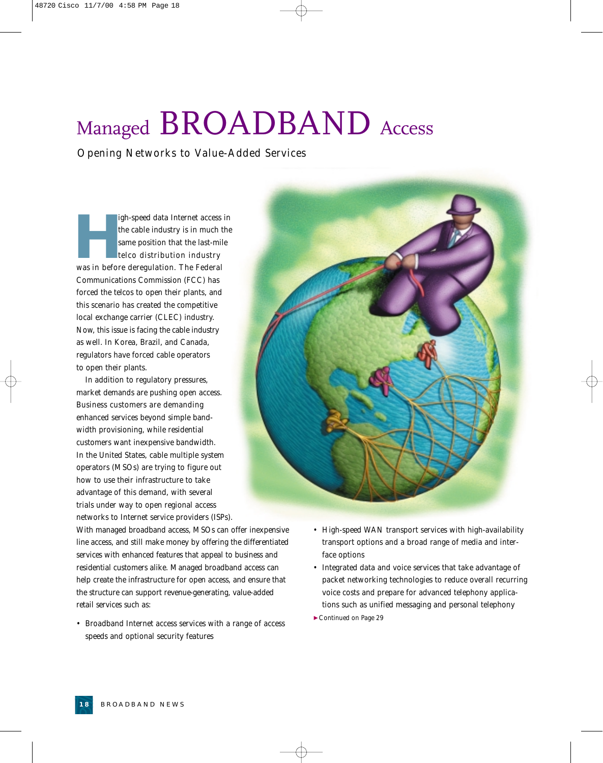### Managed BROADBAND Access

*Opening Networks to Value-Added Services*

**High-speed data Internet access in**<br>the cable industry is in much the<br>same position that the last-mile<br>telco distribution industry<br>was in before deregulation. The Federal the cable industry is in much the same position that the last-mile telco distribution industry Communications Commission (FCC) has forced the telcos to open their plants, and this scenario has created the competitive local exchange carrier (CLEC) industry. Now, this issue is facing the cable industry as well. In Korea, Brazil, and Canada, regulators have forced cable operators to open their plants.

In addition to regulatory pressures, market demands are pushing open access. Business customers are demanding enhanced services beyond simple bandwidth provisioning, while residential customers want inexpensive bandwidth. In the United States, cable multiple system operators (MSOs) are trying to figure out how to use their infrastructure to take advantage of this demand, with several trials under way to open regional access networks to Internet service providers (ISPs).

With managed broadband access, MSOs can offer inexpensive line access, and still make money by offering the differentiated services with enhanced features that appeal to business and residential customers alike. Managed broadband access can help create the infrastructure for open access, and ensure that the structure can support revenue-generating, value-added retail services such as:

- Broadband Internet access services with a range of access speeds and optional security features
- High-speed WAN transport services with high-availability transport options and a broad range of media and interface options
- Integrated data and voice services that take advantage of packet networking technologies to reduce overall recurring voice costs and prepare for advanced telephony applications such as unified messaging and personal telephony
- ▼*Continued on Page 29*

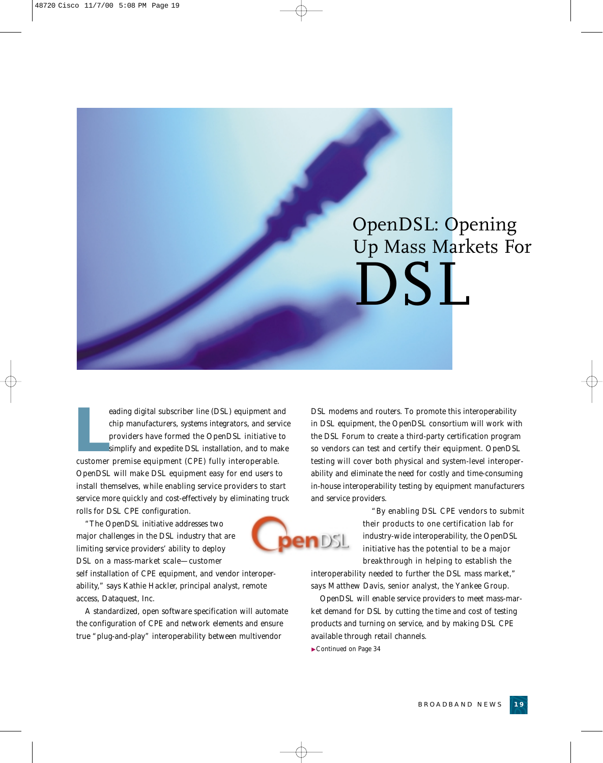

eading digital subscriber line (DSL) equipment an<br>
chip manufacturers, systems integrators, and serv<br>
providers have formed the OpenDSL initiative<br>
simplify and expedite DSL installation, and to ma<br>
customer premise equipm eading digital subscriber line (DSL) equipment and chip manufacturers, systems integrators, and service providers have formed the OpenDSL initiative to simplify and expedite DSL installation, and to make OpenDSL will make DSL equipment easy for end users to install themselves, while enabling service providers to start service more quickly and cost-effectively by eliminating truck rolls for DSL CPE configuration.

"The OpenDSL initiative addresses two major challenges in the DSL industry that are limiting service providers' ability to deploy DSL on a mass-market scale—customer

self installation of CPE equipment, and vendor interoperability," says Kathie Hackler, principal analyst, remote access, Dataquest, Inc.

A standardized, open software specification will automate the configuration of CPE and network elements and ensure true "plug-and-play" interoperability between multivendor

DSL modems and routers. To promote this interoperability in DSL equipment, the OpenDSL consortium will work with the DSL Forum to create a third-party certification program so vendors can test and certify their equipment. OpenDSL testing will cover both physical and system-level interoperability and eliminate the need for costly and time-consuming in-house interoperability testing by equipment manufacturers and service providers.

> "By enabling DSL CPE vendors to submit their products to one certification lab for industry-wide interoperability, the OpenDSL initiative has the potential to be a major breakthrough in helping to establish the

interoperability needed to further the DSL mass market," says Matthew Davis, senior analyst, the Yankee Group.

OpenDSL will enable service providers to meet mass-market demand for DSL by cutting the time and cost of testing products and turning on service, and by making DSL CPE available through retail channels.

▼*Continued on Page 34*

TDSL.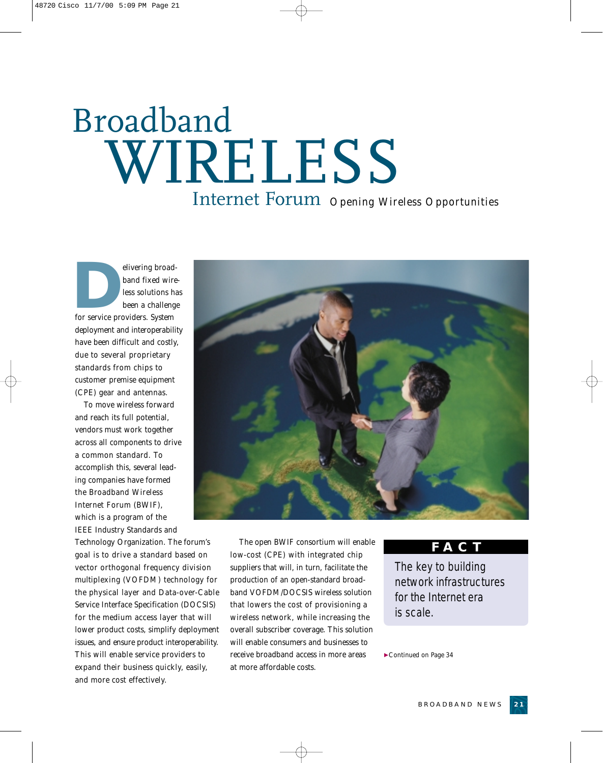## Broadband WIRELESS *Opening Wireless Opportunities* Internet Forum

elivering broad-<br>
band fixed wire<br>
less solutions has<br>
been a challenge<br>
for service providers. System band fixed wireless solutions has been a challenge deployment and interoperability have been difficult and costly, due to several proprietary standards from chips to customer premise equipment (CPE) gear and antennas.

To move wireless forward and reach its full potential, vendors must work together across all components to drive a common standard. To accomplish this, several leading companies have formed the Broadband Wireless Internet Forum (BWIF), which is a program of the IEEE Industry Standards and

Technology Organization. The forum's goal is to drive a standard based on vector orthogonal frequency division multiplexing (VOFDM) technology for the physical layer and Data-over-Cable Service Interface Specification (DOCSIS) for the medium access layer that will lower product costs, simplify deployment issues, and ensure product interoperability. This will enable service providers to expand their business quickly, easily, and more cost effectively.



The open BWIF consortium will enable low-cost (CPE) with integrated chip suppliers that will, in turn, facilitate the production of an open-standard broadband VOFDM/DOCSIS wireless solution that lowers the cost of provisioning a wireless network, while increasing the overall subscriber coverage. This solution will enable consumers and businesses to receive broadband access in more areas at more affordable costs.

#### **FACT**

The key to building network infrastructures for the Internet era is scale.

▼*Continued on Page 34*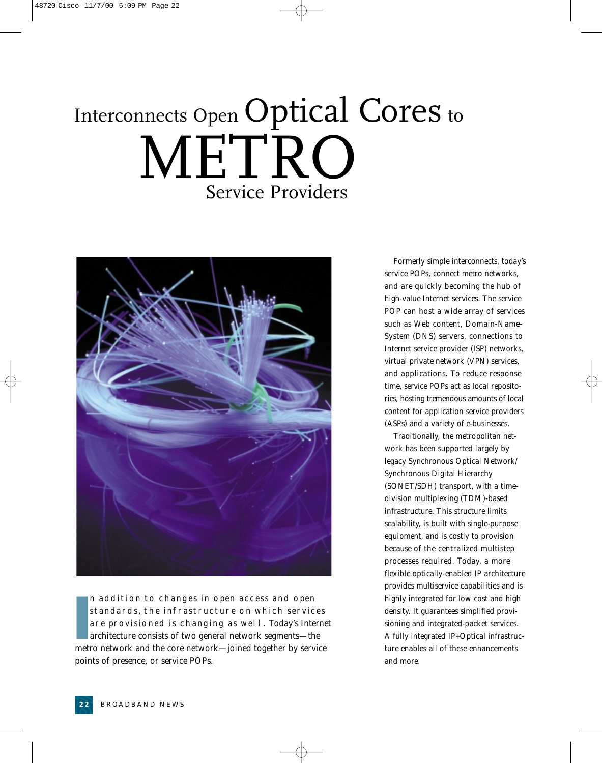## Interconnects Open Optical Cores to METRO Service Providers



II addition to changes in open access and open<br>standards, the infrastructure on which services<br>are provisioned is changing as well. Today's Interne<br>architecture consists of two general network segments—the<br>metro network an n addition to changes in open access and open standards, the infrastructure on which services are provisioned is changing as well. Today's Internet architecture consists of two general network segments—the points of presence, or service POPs.

Formerly simple interconnects, today's service POPs, connect metro networks, and are quickly becoming the hub of high-value Internet services. The service POP can host a wide array of services such as Web content, Domain-Name-System (DNS) servers, connections to Internet service provider (ISP) networks, virtual private network (VPN) services, and applications. To reduce response time, service POPs act as local repositories, hosting tremendous amounts of local content for application service providers (ASPs) and a variety of e-businesses.

Traditionally, the metropolitan network has been supported largely by legacy Synchronous Optical Network/ Synchronous Digital Hierarchy (SONET/SDH) transport, with a timedivision multiplexing (TDM)-based infrastructure. This structure limits scalability, is built with single-purpose equipment, and is costly to provision because of the centralized multistep processes required. Today, a more flexible optically-enabled IP architecture provides multiservice capabilities and is highly integrated for low cost and high density. It guarantees simplified provisioning and integrated-packet services. A fully integrated IP+Optical infrastructure enables all of these enhancements and more.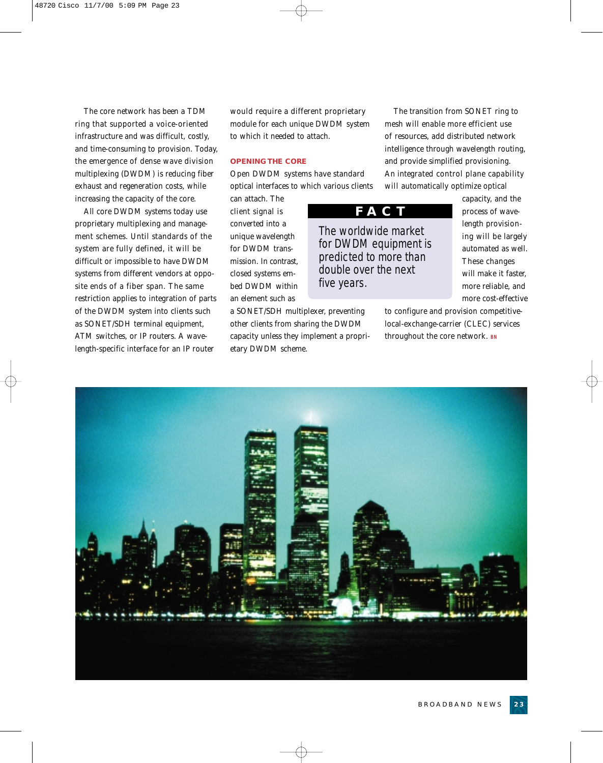The core network has been a TDM ring that supported a voice-oriented infrastructure and was difficult, costly, and time-consuming to provision. Today, the emergence of dense wave division multiplexing (DWDM) is reducing fiber exhaust and regeneration costs, while increasing the capacity of the core.

All core DWDM systems today use proprietary multiplexing and management schemes. Until standards of the system are fully defined, it will be difficult or impossible to have DWDM systems from different vendors at opposite ends of a fiber span. The same restriction applies to integration of parts of the DWDM system into clients such as SONET/SDH terminal equipment, ATM switches, or IP routers. A wavelength-specific interface for an IP router

would require a different proprietary module for each unique DWDM system to which it needed to attach.

#### **OPENING THE CORE**

Open DWDM systems have standard optical interfaces to which various clients

can attach. The client signal is converted into a unique wavelength for DWDM transmission. In contrast, closed systems embed DWDM within an element such as

a SONET/SDH multiplexer, preventing other clients from sharing the DWDM capacity unless they implement a proprietary DWDM scheme.

The transition from SONET ring to mesh will enable more efficient use of resources, add distributed network intelligence through wavelength routing, and provide simplified provisioning. An integrated control plane capability will automatically optimize optical

**FACT**

The worldwide market for DWDM equipment is predicted to more than double over the next five years.

capacity, and the process of wavelength provisioning will be largely automated as well. These changes will make it faster, more reliable, and more cost-effective

to configure and provision competitivelocal-exchange-carrier (CLEC) services throughout the core network. **BN**

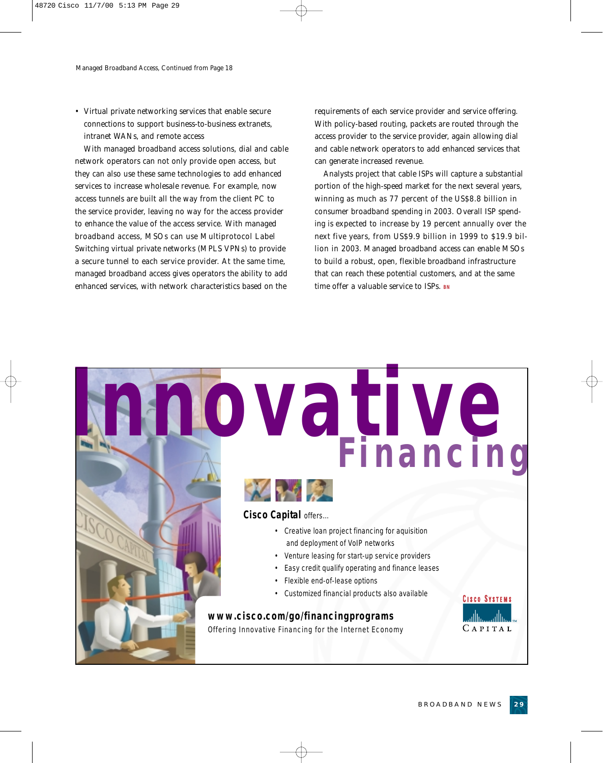• Virtual private networking services that enable secure connections to support business-to-business extranets, intranet WANs, and remote access

With managed broadband access solutions, dial and cable network operators can not only provide open access, but they can also use these same technologies to add enhanced services to increase wholesale revenue. For example, now access tunnels are built all the way from the client PC to the service provider, leaving no way for the access provider to enhance the value of the access service. With managed broadband access, MSOs can use Multiprotocol Label Switching virtual private networks (MPLS VPNs) to provide a secure tunnel to each service provider. At the same time, managed broadband access gives operators the ability to add enhanced services, with network characteristics based on the

requirements of each service provider and service offering. With policy-based routing, packets are routed through the access provider to the service provider, again allowing dial and cable network operators to add enhanced services that can generate increased revenue.

Analysts project that cable ISPs will capture a substantial portion of the high-speed market for the next several years, winning as much as 77 percent of the US\$8.8 billion in consumer broadband spending in 2003. Overall ISP spending is expected to increase by 19 percent annually over the next five years, from US\$9.9 billion in 1999 to \$19.9 billion in 2003. Managed broadband access can enable MSOs to build a robust, open, flexible broadband infrastructure that can reach these potential customers, and at the same time offer a valuable service to ISPs. **BN**

**Innovative Financing**



**Cisco Capital** offers…

- Creative loan project financing for aquisition and deployment of VoIP networks
- Venture leasing for start-up service providers
- Easy credit qualify operating and finance leases
- Flexible end-of-lease options
- Customized financial products also available

#### **www.cisco.com/go/financingprograms**

Offering Innovative Financing for the Internet Economy

**CISCO SYSTEMS** .،ااان CAPITAL